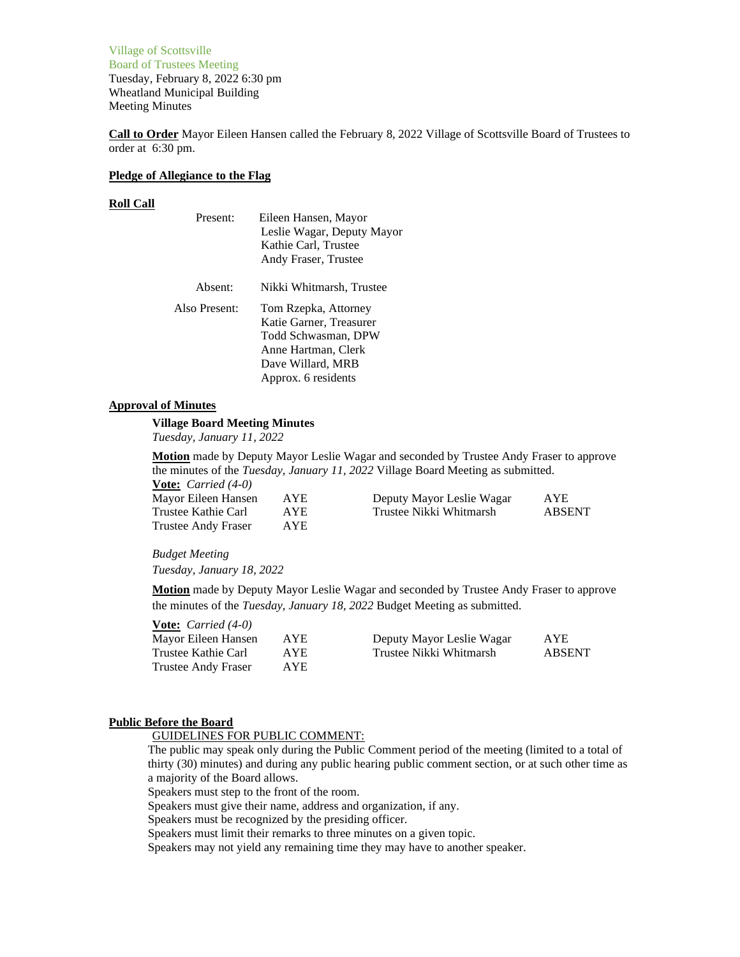Village of Scottsville Board of Trustees Meeting Tuesday, February 8, 2022 6:30 pm Wheatland Municipal Building Meeting Minutes

**Call to Order** Mayor Eileen Hansen called the February 8, 2022 Village of Scottsville Board of Trustees to order at 6:30 pm.

### **Pledge of Allegiance to the Flag**

#### **Roll Call**

| Present:      | Eileen Hansen, Mayor<br>Leslie Wagar, Deputy Mayor<br>Kathie Carl, Trustee<br>Andy Fraser, Trustee                                        |
|---------------|-------------------------------------------------------------------------------------------------------------------------------------------|
| Absent:       | Nikki Whitmarsh, Trustee                                                                                                                  |
| Also Present: | Tom Rzepka, Attorney<br>Katie Garner, Treasurer<br>Todd Schwasman, DPW<br>Anne Hartman, Clerk<br>Dave Willard, MRB<br>Approx. 6 residents |

# **Approval of Minutes**

## **Village Board Meeting Minutes**

*Tuesday, January 11, 2022*

**Motion** made by Deputy Mayor Leslie Wagar and seconded by Trustee Andy Fraser to approve the minutes of the *Tuesday, January 11, 2022* Village Board Meeting as submitted. **Vote:** *Carried (4-0)*

| Mayor Eileen Hansen        | <b>AYE</b> | Deputy Mayor Leslie Wagar | <b>AYE</b> |
|----------------------------|------------|---------------------------|------------|
| Trustee Kathie Carl        | AYE.       | Trustee Nikki Whitmarsh   | ABSENT     |
| <b>Trustee Andy Fraser</b> | <b>AYE</b> |                           |            |

#### *Budget Meeting*

*Tuesday, January 18, 2022*

**Motion** made by Deputy Mayor Leslie Wagar and seconded by Trustee Andy Fraser to approve the minutes of the *Tuesday, January 18, 2022* Budget Meeting as submitted.

| <b>Vote:</b> <i>Carried</i> $(4-0)$ |      |                           |               |
|-------------------------------------|------|---------------------------|---------------|
| Mayor Eileen Hansen                 | AYE. | Deputy Mayor Leslie Wagar | <b>AYE</b>    |
| Trustee Kathie Carl                 | AYE. | Trustee Nikki Whitmarsh   | <b>ABSENT</b> |
| Trustee Andy Fraser                 | AYE. |                           |               |

### **Public Before the Board**

GUIDELINES FOR PUBLIC COMMENT:

The public may speak only during the Public Comment period of the meeting (limited to a total of thirty (30) minutes) and during any public hearing public comment section, or at such other time as a majority of the Board allows.

Speakers must step to the front of the room.

Speakers must give their name, address and organization, if any.

Speakers must be recognized by the presiding officer.

Speakers must limit their remarks to three minutes on a given topic.

Speakers may not yield any remaining time they may have to another speaker.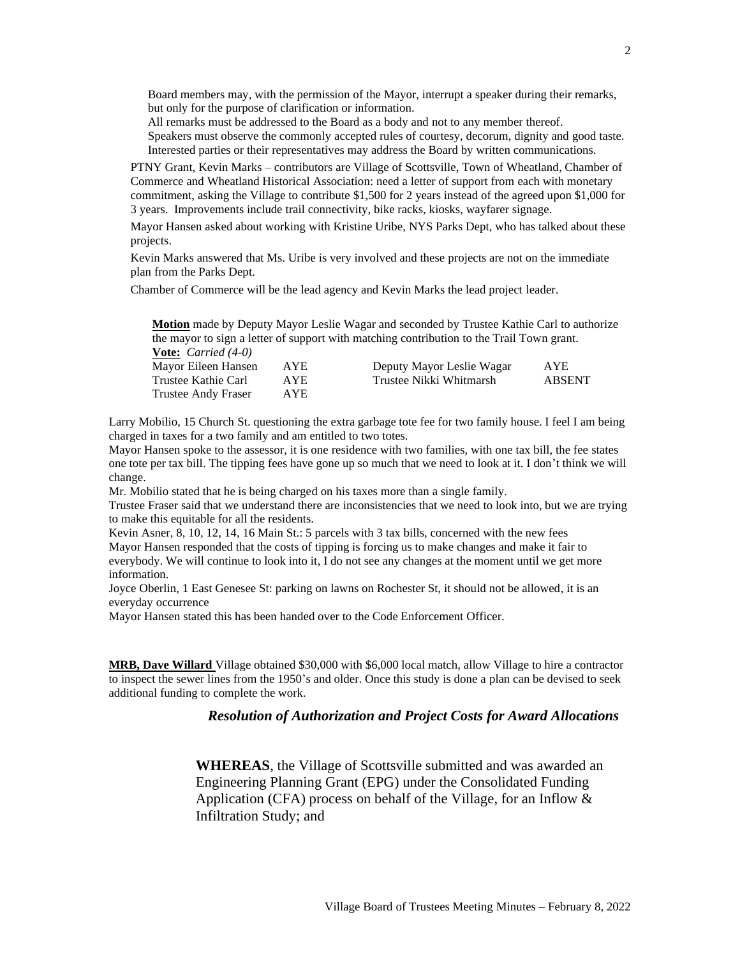Board members may, with the permission of the Mayor, interrupt a speaker during their remarks, but only for the purpose of clarification or information.

All remarks must be addressed to the Board as a body and not to any member thereof.

Speakers must observe the commonly accepted rules of courtesy, decorum, dignity and good taste. Interested parties or their representatives may address the Board by written communications.

PTNY Grant, Kevin Marks – contributors are Village of Scottsville, Town of Wheatland, Chamber of Commerce and Wheatland Historical Association: need a letter of support from each with monetary commitment, asking the Village to contribute \$1,500 for 2 years instead of the agreed upon \$1,000 for 3 years. Improvements include trail connectivity, bike racks, kiosks, wayfarer signage.

Mayor Hansen asked about working with Kristine Uribe, NYS Parks Dept, who has talked about these projects.

Kevin Marks answered that Ms. Uribe is very involved and these projects are not on the immediate plan from the Parks Dept.

Chamber of Commerce will be the lead agency and Kevin Marks the lead project leader.

**Motion** made by Deputy Mayor Leslie Wagar and seconded by Trustee Kathie Carl to authorize the mayor to sign a letter of support with matching contribution to the Trail Town grant. **Vote:** *Carried (4-0)*

| Mayor Eileen Hansen | AYE. | Deputy Mayor Leslie Wagar | AYE           |
|---------------------|------|---------------------------|---------------|
| Trustee Kathie Carl | AYE. | Trustee Nikki Whitmarsh   | <b>ABSENT</b> |
| Trustee Andy Fraser | AYE. |                           |               |

Larry Mobilio, 15 Church St. questioning the extra garbage tote fee for two family house. I feel I am being charged in taxes for a two family and am entitled to two totes.

Mayor Hansen spoke to the assessor, it is one residence with two families, with one tax bill, the fee states one tote per tax bill. The tipping fees have gone up so much that we need to look at it. I don't think we will change.

Mr. Mobilio stated that he is being charged on his taxes more than a single family.

Trustee Fraser said that we understand there are inconsistencies that we need to look into, but we are trying to make this equitable for all the residents.

Kevin Asner, 8, 10, 12, 14, 16 Main St.: 5 parcels with 3 tax bills, concerned with the new fees Mayor Hansen responded that the costs of tipping is forcing us to make changes and make it fair to everybody. We will continue to look into it, I do not see any changes at the moment until we get more information.

Joyce Oberlin, 1 East Genesee St: parking on lawns on Rochester St, it should not be allowed, it is an everyday occurrence

Mayor Hansen stated this has been handed over to the Code Enforcement Officer.

**MRB, Dave Willard** Village obtained \$30,000 with \$6,000 local match, allow Village to hire a contractor to inspect the sewer lines from the 1950's and older. Once this study is done a plan can be devised to seek additional funding to complete the work.

## *Resolution of Authorization and Project Costs for Award Allocations*

**WHEREAS**, the Village of Scottsville submitted and was awarded an Engineering Planning Grant (EPG) under the Consolidated Funding Application (CFA) process on behalf of the Village, for an Inflow & Infiltration Study; and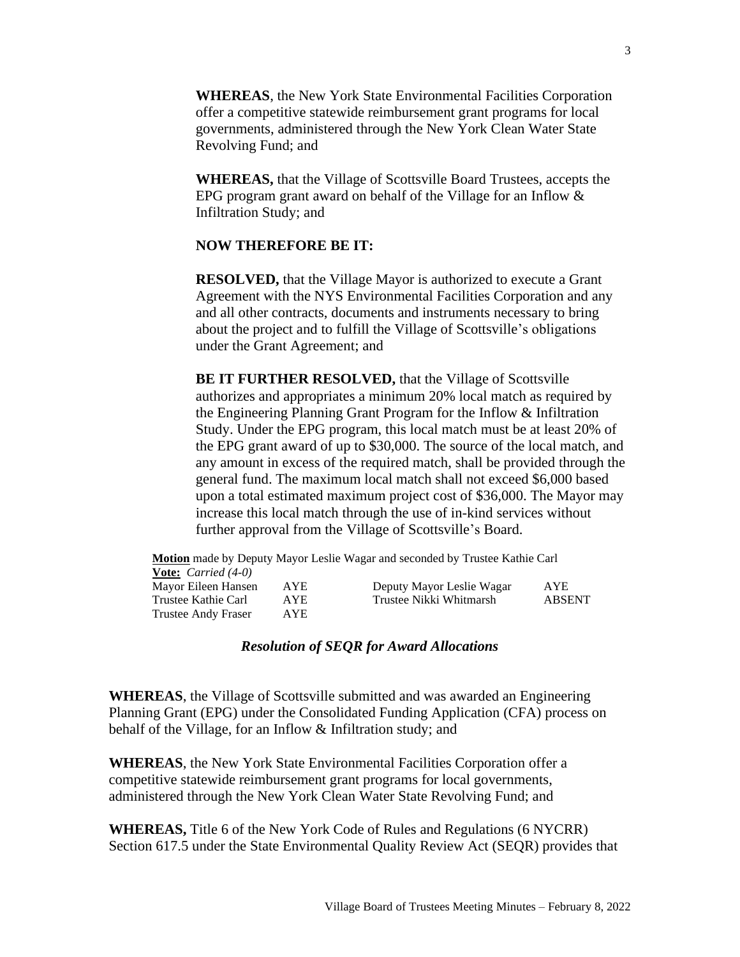**WHEREAS**, the New York State Environmental Facilities Corporation offer a competitive statewide reimbursement grant programs for local governments, administered through the New York Clean Water State Revolving Fund; and

**WHEREAS,** that the Village of Scottsville Board Trustees, accepts the EPG program grant award on behalf of the Village for an Inflow & Infiltration Study; and

# **NOW THEREFORE BE IT:**

**RESOLVED,** that the Village Mayor is authorized to execute a Grant Agreement with the NYS Environmental Facilities Corporation and any and all other contracts, documents and instruments necessary to bring about the project and to fulfill the Village of Scottsville's obligations under the Grant Agreement; and

**BE IT FURTHER RESOLVED, that the Village of Scottsville** authorizes and appropriates a minimum 20% local match as required by the Engineering Planning Grant Program for the Inflow & Infiltration Study. Under the EPG program, this local match must be at least 20% of the EPG grant award of up to \$30,000. The source of the local match, and any amount in excess of the required match, shall be provided through the general fund. The maximum local match shall not exceed \$6,000 based upon a total estimated maximum project cost of \$36,000. The Mayor may increase this local match through the use of in-kind services without further approval from the Village of Scottsville's Board.

|                                     |            | Motion made by Deputy Mayor Leslie Wagar and seconded by Trustee Kathie Carl |               |
|-------------------------------------|------------|------------------------------------------------------------------------------|---------------|
| <b>Vote:</b> <i>Carried</i> $(4-0)$ |            |                                                                              |               |
| Mayor Eileen Hansen                 | <b>AYE</b> | Deputy Mayor Leslie Wagar                                                    | <b>AYE</b>    |
| Trustee Kathie Carl                 | <b>AYE</b> | Trustee Nikki Whitmarsh                                                      | <b>ABSENT</b> |
| Trustee Andy Fraser                 | AYE.       |                                                                              |               |

# *Resolution of SEQR for Award Allocations*

**WHEREAS**, the Village of Scottsville submitted and was awarded an Engineering Planning Grant (EPG) under the Consolidated Funding Application (CFA) process on behalf of the Village, for an Inflow & Infiltration study; and

**WHEREAS**, the New York State Environmental Facilities Corporation offer a competitive statewide reimbursement grant programs for local governments, administered through the New York Clean Water State Revolving Fund; and

**WHEREAS,** Title 6 of the New York Code of Rules and Regulations (6 NYCRR) Section 617.5 under the State Environmental Quality Review Act (SEQR) provides that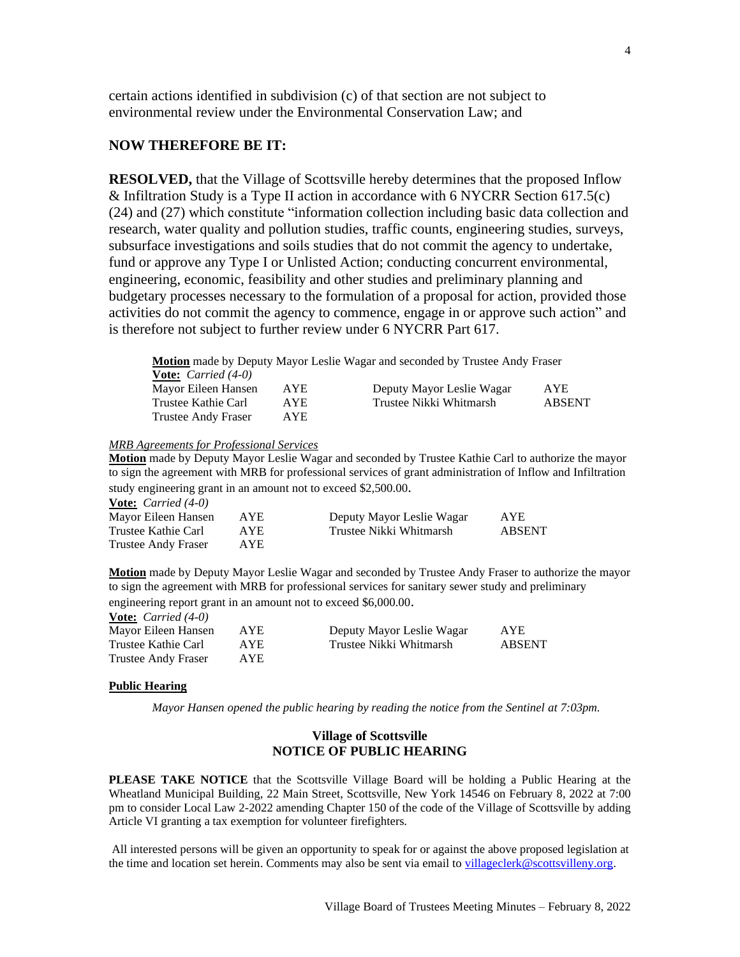certain actions identified in subdivision (c) of that section are not subject to environmental review under the Environmental Conservation Law; and

# **NOW THEREFORE BE IT:**

**RESOLVED,** that the Village of Scottsville hereby determines that the proposed Inflow & Infiltration Study is a Type II action in accordance with 6 NYCRR Section 617.5(c) (24) and (27) which constitute "information collection including basic data collection and research, water quality and pollution studies, traffic counts, engineering studies, surveys, subsurface investigations and soils studies that do not commit the agency to undertake, fund or approve any Type I or Unlisted Action; conducting concurrent environmental, engineering, economic, feasibility and other studies and preliminary planning and budgetary processes necessary to the formulation of a proposal for action, provided those activities do not commit the agency to commence, engage in or approve such action" and is therefore not subject to further review under 6 NYCRR Part 617.

**Motion** made by Deputy Mayor Leslie Wagar and seconded by Trustee Andy Fraser **Vote:** *Carried (4-0)* Mayor Eileen Hansen AYE Deputy Mayor Leslie Wagar AYE Trustee Kathie Carl AYE Trustee Nikki Whitmarsh ABSENT Trustee Andy Fraser AYE

*MRB Agreements for Professional Services*

**Motion** made by Deputy Mayor Leslie Wagar and seconded by Trustee Kathie Carl to authorize the mayor to sign the agreement with MRB for professional services of grant administration of Inflow and Infiltration study engineering grant in an amount not to exceed \$2,500.00.

**Vote:** *Carried (4-0)*

**Vote:** *Carried (4-0)*

| Mayor Eileen Hansen | <b>AYE</b> | Deputy Mayor Leslie Wagar | AYE           |
|---------------------|------------|---------------------------|---------------|
| Trustee Kathie Carl | AYE.       | Trustee Nikki Whitmarsh   | <b>ABSENT</b> |
| Trustee Andy Fraser | AYE.       |                           |               |

**Motion** made by Deputy Mayor Leslie Wagar and seconded by Trustee Andy Fraser to authorize the mayor to sign the agreement with MRB for professional services for sanitary sewer study and preliminary engineering report grant in an amount not to exceed \$6,000.00.

| $\frac{1}{2}$ $\frac{1}{2}$ $\frac{1}{2}$ $\frac{1}{2}$ $\frac{1}{2}$ $\frac{1}{2}$ $\frac{1}{2}$ $\frac{1}{2}$ $\frac{1}{2}$ $\frac{1}{2}$ $\frac{1}{2}$ $\frac{1}{2}$ $\frac{1}{2}$ $\frac{1}{2}$ $\frac{1}{2}$ $\frac{1}{2}$ $\frac{1}{2}$ $\frac{1}{2}$ $\frac{1}{2}$ $\frac{1}{2}$ $\frac{1}{2}$ $\frac{1}{2}$ |      |                           |               |
|---------------------------------------------------------------------------------------------------------------------------------------------------------------------------------------------------------------------------------------------------------------------------------------------------------------------|------|---------------------------|---------------|
| Mayor Eileen Hansen                                                                                                                                                                                                                                                                                                 | AYE  | Deputy Mayor Leslie Wagar | AYE           |
| Trustee Kathie Carl                                                                                                                                                                                                                                                                                                 | AYE. | Trustee Nikki Whitmarsh   | <b>ABSENT</b> |
| <b>Trustee Andy Fraser</b>                                                                                                                                                                                                                                                                                          | AYE. |                           |               |

#### **Public Hearing**

*Mayor Hansen opened the public hearing by reading the notice from the Sentinel at 7:03pm.*

# **Village of Scottsville NOTICE OF PUBLIC HEARING**

**PLEASE TAKE NOTICE** that the Scottsville Village Board will be holding a Public Hearing at the Wheatland Municipal Building, 22 Main Street, Scottsville, New York 14546 on February 8, 2022 at 7:00 pm to consider Local Law 2-2022 amending Chapter 150 of the code of the Village of Scottsville by adding Article VI granting a tax exemption for volunteer firefighters.

All interested persons will be given an opportunity to speak for or against the above proposed legislation at the time and location set herein. Comments may also be sent via email t[o villageclerk@scottsvilleny.org.](mailto:villageclerk@scottsvilleny.org)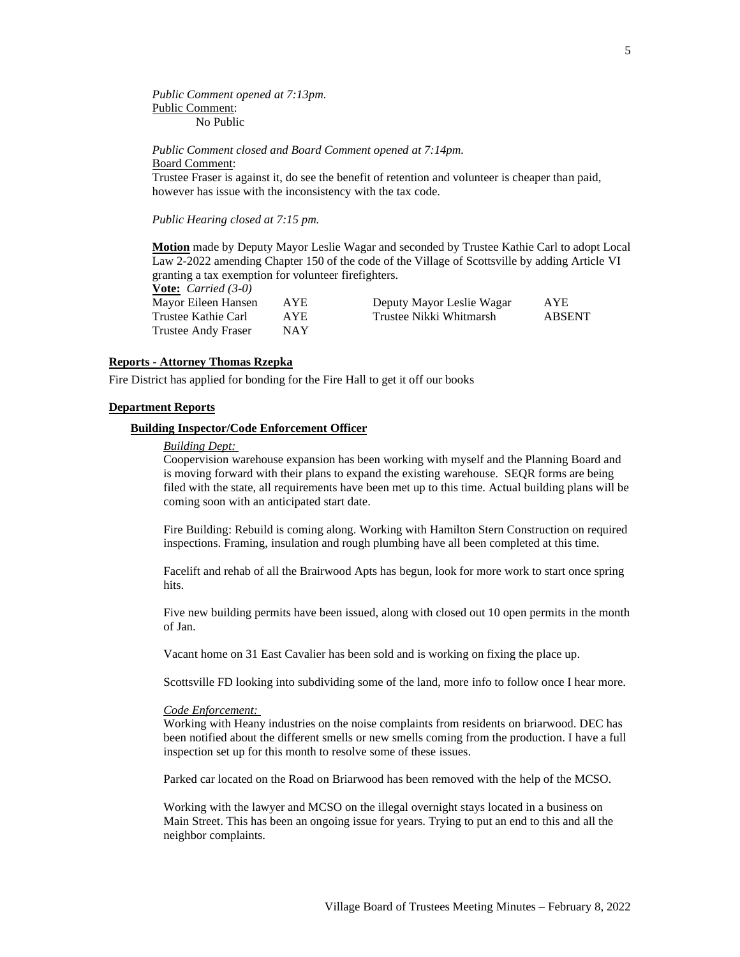*Public Comment opened at 7:13pm.* Public Comment: No Public

*Public Comment closed and Board Comment opened at 7:14pm.* Board Comment:

Trustee Fraser is against it, do see the benefit of retention and volunteer is cheaper than paid, however has issue with the inconsistency with the tax code.

*Public Hearing closed at 7:15 pm.*

**Motion** made by Deputy Mayor Leslie Wagar and seconded by Trustee Kathie Carl to adopt Local Law 2-2022 amending Chapter 150 of the code of the Village of Scottsville by adding Article VI granting a tax exemption for volunteer firefighters.

**Vote:** *Carried (3-0)*

| Mayor Eileen Hansen | AYE.       | Deputy Mayor Leslie Wagar | <b>AYE</b> |
|---------------------|------------|---------------------------|------------|
| Trustee Kathie Carl | <b>AYE</b> | Trustee Nikki Whitmarsh   | ABSENT     |
| Trustee Andy Fraser | NAY        |                           |            |

#### **Reports - Attorney Thomas Rzepka**

Fire District has applied for bonding for the Fire Hall to get it off our books

#### **Department Reports**

## **Building Inspector/Code Enforcement Officer**

### *Building Dept:*

Coopervision warehouse expansion has been working with myself and the Planning Board and is moving forward with their plans to expand the existing warehouse. SEQR forms are being filed with the state, all requirements have been met up to this time. Actual building plans will be coming soon with an anticipated start date.

Fire Building: Rebuild is coming along. Working with Hamilton Stern Construction on required inspections. Framing, insulation and rough plumbing have all been completed at this time.

Facelift and rehab of all the Brairwood Apts has begun, look for more work to start once spring hits.

Five new building permits have been issued, along with closed out 10 open permits in the month of Jan.

Vacant home on 31 East Cavalier has been sold and is working on fixing the place up.

Scottsville FD looking into subdividing some of the land, more info to follow once I hear more.

#### *Code Enforcement:*

Working with Heany industries on the noise complaints from residents on briarwood. DEC has been notified about the different smells or new smells coming from the production. I have a full inspection set up for this month to resolve some of these issues.

Parked car located on the Road on Briarwood has been removed with the help of the MCSO.

Working with the lawyer and MCSO on the illegal overnight stays located in a business on Main Street. This has been an ongoing issue for years. Trying to put an end to this and all the neighbor complaints.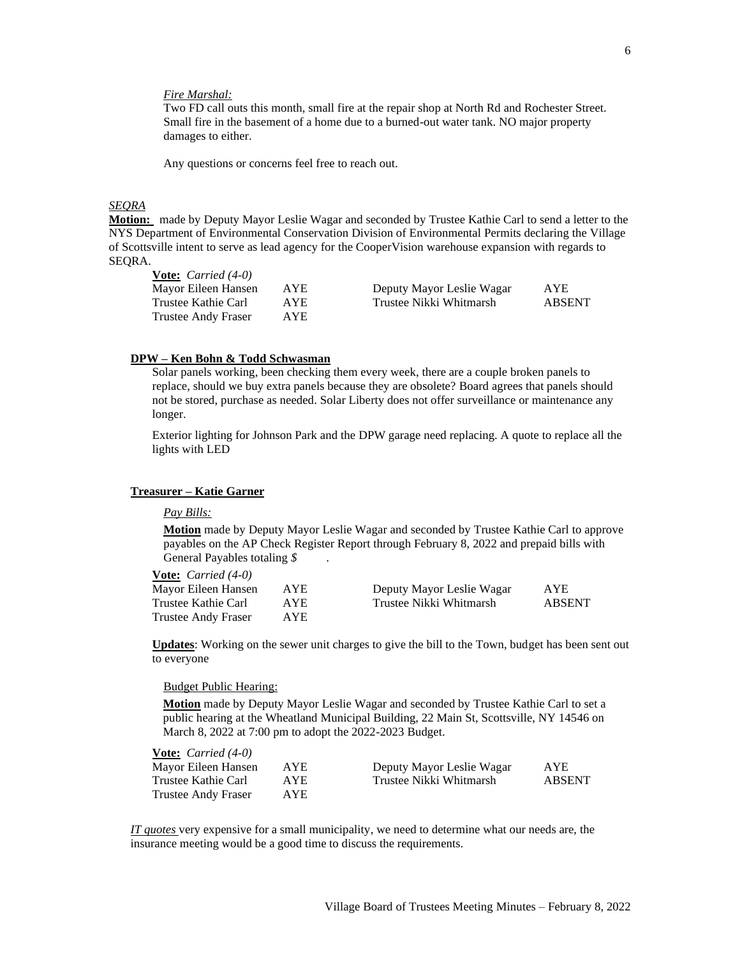### *Fire Marshal:*

Two FD call outs this month, small fire at the repair shop at North Rd and Rochester Street. Small fire in the basement of a home due to a burned-out water tank. NO major property damages to either.

Any questions or concerns feel free to reach out.

## *SEQRA*

**Motion:** made by Deputy Mayor Leslie Wagar and seconded by Trustee Kathie Carl to send a letter to the NYS Department of Environmental Conservation Division of Environmental Permits declaring the Village of Scottsville intent to serve as lead agency for the CooperVision warehouse expansion with regards to SEQRA.

| <b>Vote:</b> <i>Carried</i> $(4-0)$ |      |                           |               |
|-------------------------------------|------|---------------------------|---------------|
| Mayor Eileen Hansen                 | AYE. | Deputy Mayor Leslie Wagar | <b>AYE</b>    |
| Trustee Kathie Carl                 | AYE. | Trustee Nikki Whitmarsh   | <b>ABSENT</b> |
| Trustee Andy Fraser                 | AYE. |                           |               |

## **DPW – Ken Bohn & Todd Schwasman**

Solar panels working, been checking them every week, there are a couple broken panels to replace, should we buy extra panels because they are obsolete? Board agrees that panels should not be stored, purchase as needed. Solar Liberty does not offer surveillance or maintenance any longer.

Exterior lighting for Johnson Park and the DPW garage need replacing. A quote to replace all the lights with LED

#### **Treasurer – Katie Garner**

#### *Pay Bills:*

**Motion** made by Deputy Mayor Leslie Wagar and seconded by Trustee Kathie Carl to approve payables on the AP Check Register Report through February 8, 2022 and prepaid bills with General Payables totaling *\$* .

| <b>Vote:</b> <i>Carried</i> $(4-0)$ |            |                           |            |
|-------------------------------------|------------|---------------------------|------------|
| Mayor Eileen Hansen                 | <b>AYE</b> | Deputy Mayor Leslie Wagar | <b>AYE</b> |
| Trustee Kathie Carl                 | AYE.       | Trustee Nikki Whitmarsh   | ABSENT     |
| Trustee Andy Fraser                 | AYE.       |                           |            |

**Updates**: Working on the sewer unit charges to give the bill to the Town, budget has been sent out to everyone

### Budget Public Hearing:

**Motion** made by Deputy Mayor Leslie Wagar and seconded by Trustee Kathie Carl to set a public hearing at the Wheatland Municipal Building, 22 Main St, Scottsville, NY 14546 on March 8, 2022 at 7:00 pm to adopt the 2022-2023 Budget.

| <b>Vote:</b> <i>Carried</i> $(4-0)$ |            |                           |               |
|-------------------------------------|------------|---------------------------|---------------|
| Mayor Eileen Hansen                 | <b>AYE</b> | Deputy Mayor Leslie Wagar | AYE.          |
| Trustee Kathie Carl                 | AYE.       | Trustee Nikki Whitmarsh   | <b>ABSENT</b> |
| <b>Trustee Andy Fraser</b>          | AYE.       |                           |               |

*IT quotes* very expensive for a small municipality, we need to determine what our needs are, the insurance meeting would be a good time to discuss the requirements.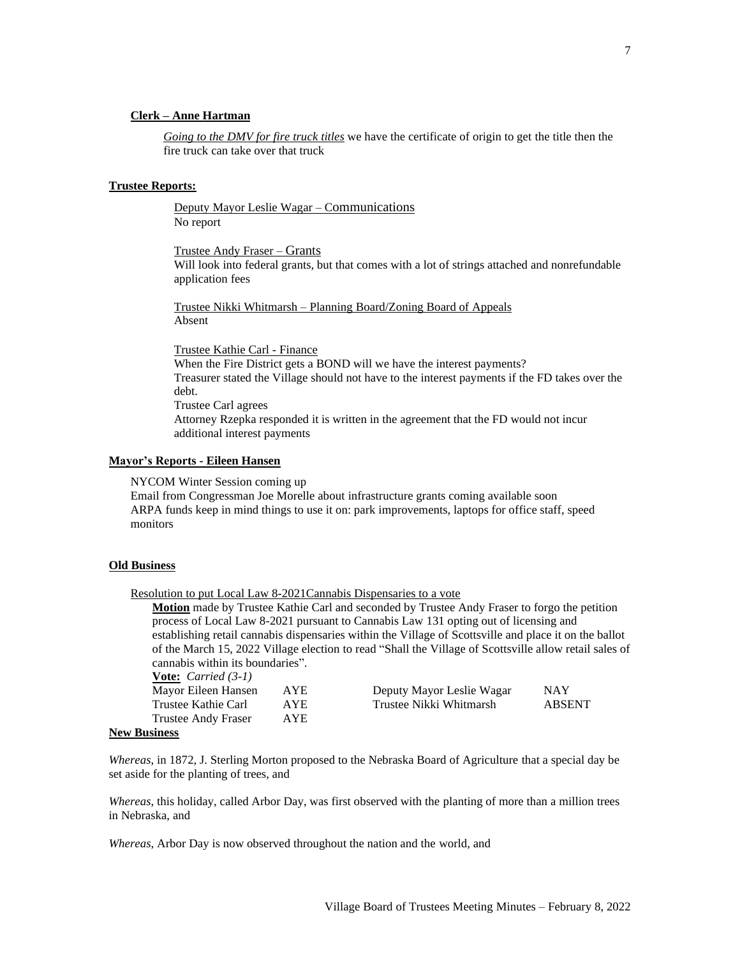## **Clerk – Anne Hartman**

*Going to the DMV for fire truck titles* we have the certificate of origin to get the title then the fire truck can take over that truck

## **Trustee Reports:**

Deputy Mayor Leslie Wagar – Communications No report

Trustee Andy Fraser – Grants

Will look into federal grants, but that comes with a lot of strings attached and nonrefundable application fees

Trustee Nikki Whitmarsh – Planning Board/Zoning Board of Appeals Absent

Trustee Kathie Carl - Finance

When the Fire District gets a BOND will we have the interest payments? Treasurer stated the Village should not have to the interest payments if the FD takes over the debt.

Trustee Carl agrees Attorney Rzepka responded it is written in the agreement that the FD would not incur additional interest payments

### **Mayor's Reports - Eileen Hansen**

NYCOM Winter Session coming up

Email from Congressman Joe Morelle about infrastructure grants coming available soon ARPA funds keep in mind things to use it on: park improvements, laptops for office staff, speed monitors

## **Old Business**

Resolution to put Local Law 8-2021Cannabis Dispensaries to a vote

**Motion** made by Trustee Kathie Carl and seconded by Trustee Andy Fraser to forgo the petition process of Local Law 8-2021 pursuant to Cannabis Law 131 opting out of licensing and establishing retail cannabis dispensaries within the Village of Scottsville and place it on the ballot of the March 15, 2022 Village election to read "Shall the Village of Scottsville allow retail sales of cannabis within its boundaries". **Vote:** *Carried (3-1)*

| $\frac{1}{2}$ $\frac{1}{2}$ $\frac{1}{2}$ $\frac{1}{2}$ $\frac{1}{2}$ |            |                           |               |
|-----------------------------------------------------------------------|------------|---------------------------|---------------|
| Mayor Eileen Hansen                                                   | <b>AYE</b> | Deputy Mayor Leslie Wagar | <b>NAY</b>    |
| Trustee Kathie Carl                                                   | AYE.       | Trustee Nikki Whitmarsh   | <b>ABSENT</b> |
| Trustee Andy Fraser                                                   | <b>AYE</b> |                           |               |
| inoss                                                                 |            |                           |               |

#### **New Business**

*Whereas*, in 1872, J. Sterling Morton proposed to the Nebraska Board of Agriculture that a special day be set aside for the planting of trees, and

*Whereas*, this holiday, called Arbor Day, was first observed with the planting of more than a million trees in Nebraska, and

*Whereas*, Arbor Day is now observed throughout the nation and the world, and